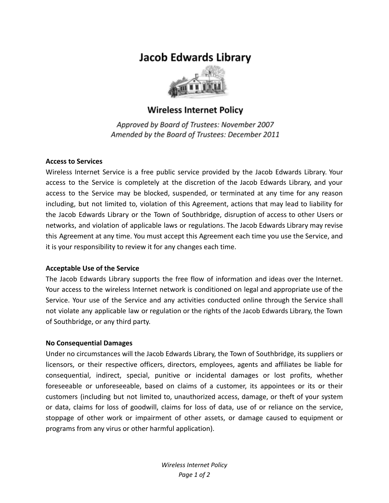# **Jacob Edwards Library**



# **Wireless Internet Policy**

Approved by Board of Trustees: November 2007 Amended by the Board of Trustees: December 2011

#### **Access to Services**

Wireless Internet Service is a free public service provided by the Jacob Edwards Library. Your access to the Service is completely at the discretion of the Jacob Edwards Library, and your access to the Service may be blocked, suspended, or terminated at any time for any reason including, but not limited to, violation of this Agreement, actions that may lead to liability for the Jacob Edwards Library or the Town of Southbridge, disruption of access to other Users or networks, and violation of applicable laws or regulations. The Jacob Edwards Library may revise this Agreement at any time. You must accept this Agreement each time you use the Service, and it is your responsibility to review it for any changes each time.

## **Acceptable Use of the Service**

The Jacob Edwards Library supports the free flow of information and ideas over the Internet. Your access to the wireless Internet network is conditioned on legal and appropriate use of the Service. Your use of the Service and any activities conducted online through the Service shall not violate any applicable law or regulation or the rights of the Jacob Edwards Library, the Town of Southbridge, or any third party.

## **No Consequential Damages**

Under no circumstances will the Jacob Edwards Library, the Town of Southbridge, its suppliers or licensors, or their respective officers, directors, employees, agents and affiliates be liable for consequential, indirect, special, punitive or incidental damages or lost profits, whether foreseeable or unforeseeable, based on claims of a customer, its appointees or its or their customers (including but not limited to, unauthorized access, damage, or theft of your system or data, claims for loss of goodwill, claims for loss of data, use of or reliance on the service, stoppage of other work or impairment of other assets, or damage caused to equipment or programs from any virus or other harmful application).

> *Wireless Internet Policy Page 1 of 2*